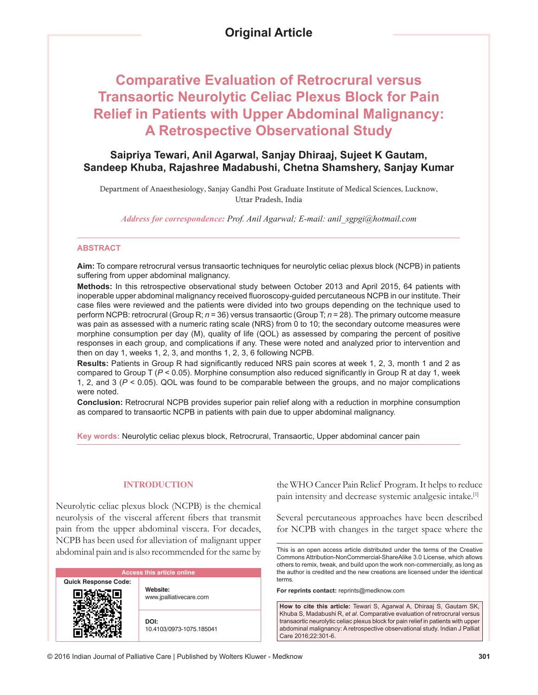# **Comparative Evaluation of Retrocrural versus Transaortic Neurolytic Celiac Plexus Block for Pain Relief in Patients with Upper Abdominal Malignancy: A Retrospective Observational Study**

# **Saipriya Tewari, Anil Agarwal, Sanjay Dhiraaj, Sujeet K Gautam, Sandeep Khuba, Rajashree Madabushi, Chetna Shamshery, Sanjay Kumar**

Department of Anaesthesiology, Sanjay Gandhi Post Graduate Institute of Medical Sciences, Lucknow, Uttar Pradesh, India

*Address for correspondence: Prof. Anil Agarwal; E‑mail: anil\_sgpgi@hotmail.com*

### **ABSTRACT**

**Aim:** To compare retrocrural versus transaortic techniques for neurolytic celiac plexus block (NCPB) in patients suffering from upper abdominal malignancy.

**Methods:** In this retrospective observational study between October 2013 and April 2015, 64 patients with inoperable upper abdominal malignancy received fluoroscopy‑guided percutaneous NCPB in our institute. Their case files were reviewed and the patients were divided into two groups depending on the technique used to perform NCPB: retrocrural (Group R; *n* = 36) versus transaortic (Group T; *n* = 28). The primary outcome measure was pain as assessed with a numeric rating scale (NRS) from 0 to 10; the secondary outcome measures were morphine consumption per day (M), quality of life (QOL) as assessed by comparing the percent of positive responses in each group, and complications if any. These were noted and analyzed prior to intervention and then on day 1, weeks 1, 2, 3, and months 1, 2, 3, 6 following NCPB.

**Results:** Patients in Group R had significantly reduced NRS pain scores at week 1, 2, 3, month 1 and 2 as compared to Group T (*P* < 0.05). Morphine consumption also reduced significantly in Group R at day 1, week 1, 2, and 3 (*P* < 0.05). QOL was found to be comparable between the groups, and no major complications were noted.

**Conclusion:** Retrocrural NCPB provides superior pain relief along with a reduction in morphine consumption as compared to transaortic NCPB in patients with pain due to upper abdominal malignancy.

**Key words:** Neurolytic celiac plexus block, Retrocrural, Transaortic, Upper abdominal cancer pain

# **INTRODUCTION**

Neurolytic celiac plexus block (NCPB) is the chemical neurolysis of the visceral afferent fibers that transmit pain from the upper abdominal viscera. For decades, NCPB has been used for alleviation of malignant upper abdominal pain and is also recommended for the same by

| <b>Access this article online</b> |                                     |  |  |  |  |
|-----------------------------------|-------------------------------------|--|--|--|--|
| <b>Quick Response Code:</b>       | Website:<br>www.jpalliativecare.com |  |  |  |  |
|                                   | DOI:<br>10.4103/0973-1075.185041    |  |  |  |  |

the WHO Cancer Pain Relief Program. It helps to reduce pain intensity and decrease systemic analgesic intake.<sup>[1]</sup>

Several percutaneous approaches have been described for NCPB with changes in the target space where the

This is an open access article distributed under the terms of the Creative Commons Attribution-NonCommercial-ShareAlike 3.0 License, which allows others to remix, tweak, and build upon the work non-commercially, as long as the author is credited and the new creations are licensed under the identical terms.

**For reprints contact:** reprints@medknow.com

**How to cite this article:** Tewari S, Agarwal A, Dhiraaj S, Gautam SK, Khuba S, Madabushi R, *et al*. Comparative evaluation of retrocrural versus transaortic neurolytic celiac plexus block for pain relief in patients with upper abdominal malignancy: A retrospective observational study. Indian J Palliat Care 2016;22:301-6.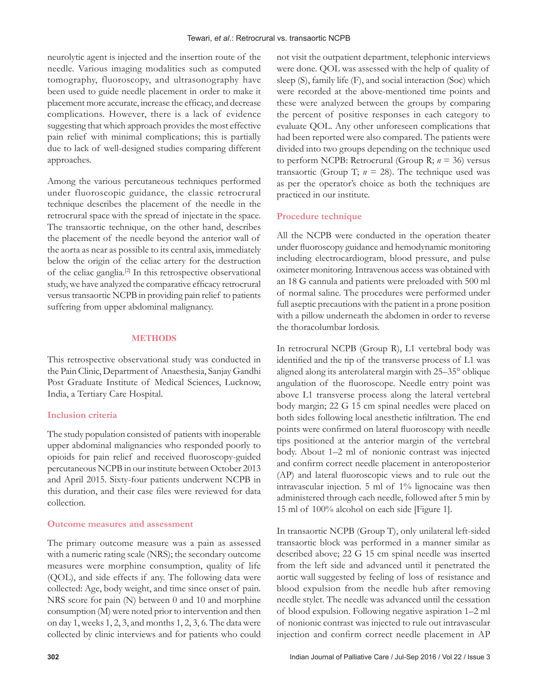neurolytic agent is injected and the insertion route of the needle. Various imaging modalities such as computed tomography, fluoroscopy, and ultrasonography have been used to guide needle placement in order to make it placement more accurate, increase the efficacy, and decrease complications. However, there is a lack of evidence suggesting that which approach provides the most effective pain relief with minimal complications; this is partially due to lack of well-designed studies comparing different approaches.

Among the various percutaneous techniques performed under fluoroscopic guidance, the classic retrocrural technique describes the placement of the needle in the retrocrural space with the spread of injectate in the space. The transaortic technique, on the other hand, describes the placement of the needle beyond the anterior wall of the aorta as near as possible to its central axis, immediately below the origin of the celiac artery for the destruction of the celiac ganglia.[2] In this retrospective observational study, we have analyzed the comparative efficacy retrocrural versus transaortic NCPB in providing pain relief to patients suffering from upper abdominal malignancy.

# **METHODS**

This retrospective observational study was conducted in the Pain Clinic, Department of Anaesthesia, Sanjay Gandhi Post Graduate Institute of Medical Sciences, Lucknow, India, a Tertiary Care Hospital.

# **Inclusion criteria**

The study population consisted of patients with inoperable upper abdominal malignancies who responded poorly to opioids for pain relief and received fluoroscopy‑guided percutaneous NCPB in our institute between October 2013 and April 2015. Sixty-four patients underwent NCPB in this duration, and their case files were reviewed for data collection.

# **Outcome measures and assessment**

The primary outcome measure was a pain as assessed with a numeric rating scale (NRS); the secondary outcome measures were morphine consumption, quality of life (QOL), and side effects if any. The following data were collected: Age, body weight, and time since onset of pain. NRS score for pain (N) between 0 and 10 and morphine consumption (M) were noted prior to intervention and then on day 1, weeks 1, 2, 3, and months 1, 2, 3, 6. The data were collected by clinic interviews and for patients who could not visit the outpatient department, telephonic interviews were done. QOL was assessed with the help of quality of sleep (S), family life (F), and social interaction (Soc) which were recorded at the above-mentioned time points and these were analyzed between the groups by comparing the percent of positive responses in each category to evaluate QOL. Any other unforeseen complications that had been reported were also compared. The patients were divided into two groups depending on the technique used to perform NCPB: Retrocrural (Group R; *n* = 36) versus transaortic (Group T;  $n = 28$ ). The technique used was as per the operator's choice as both the techniques are practiced in our institute.

# **Procedure technique**

All the NCPB were conducted in the operation theater under fluoroscopy guidance and hemodynamic monitoring including electrocardiogram, blood pressure, and pulse oximeter monitoring. Intravenous access was obtained with an 18 G cannula and patients were preloaded with 500 ml of normal saline. The procedures were performed under full aseptic precautions with the patient in a prone position with a pillow underneath the abdomen in order to reverse the thoracolumbar lordosis.

In retrocrural NCPB (Group R), L1 vertebral body was identified and the tip of the transverse process of L1 was aligned along its anterolateral margin with 25–35° oblique angulation of the fluoroscope. Needle entry point was above L1 transverse process along the lateral vertebral body margin; 22 G 15 cm spinal needles were placed on both sides following local anesthetic infiltration. The end points were confirmed on lateral fluoroscopy with needle tips positioned at the anterior margin of the vertebral body. About 1–2 ml of nonionic contrast was injected and confirm correct needle placement in anteroposterior (AP) and lateral fluoroscopic views and to rule out the intravascular injection. 5 ml of 1% lignocaine was then administered through each needle, followed after 5 min by 15 ml of 100% alcohol on each side [Figure 1].

In transaortic NCPB (Group T), only unilateral left‑sided transaortic block was performed in a manner similar as described above; 22 G 15 cm spinal needle was inserted from the left side and advanced until it penetrated the aortic wall suggested by feeling of loss of resistance and blood expulsion from the needle hub after removing needle stylet. The needle was advanced until the cessation of blood expulsion. Following negative aspiration 1–2 ml of nonionic contrast was injected to rule out intravascular injection and confirm correct needle placement in AP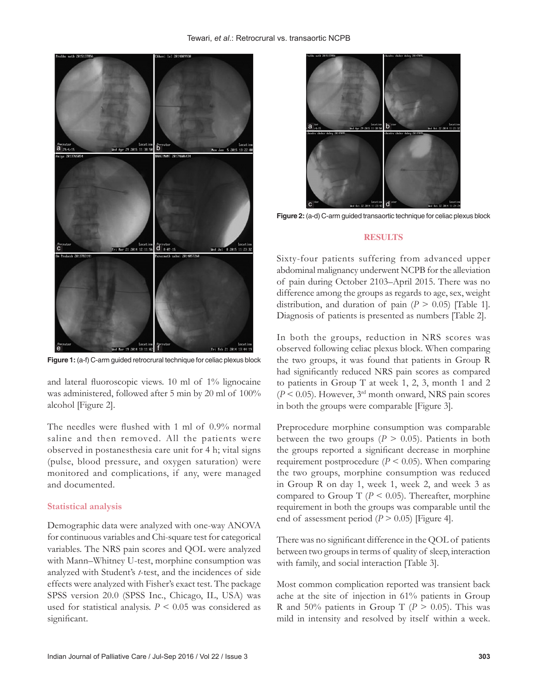

**Figure 1:** (a-f) C-arm guided retrocrural technique for celiac plexus block

and lateral fluoroscopic views. 10 ml of 1% lignocaine was administered, followed after 5 min by 20 ml of 100% alcohol [Figure 2].

The needles were flushed with 1 ml of 0.9% normal saline and then removed. All the patients were observed in postanesthesia care unit for 4 h; vital signs (pulse, blood pressure, and oxygen saturation) were monitored and complications, if any, were managed and documented.

#### **Statistical analysis**

Demographic data were analyzed with one‑way ANOVA for continuous variables and Chi‑square test for categorical variables. The NRS pain scores and QOL were analyzed with Mann–Whitney U-test, morphine consumption was analyzed with Student's *t*‑test, and the incidences of side effects were analyzed with Fisher's exact test. The package SPSS version 20.0 (SPSS Inc., Chicago, IL, USA) was used for statistical analysis. *P* < 0.05 was considered as significant.



**Figure 2:** (a-d) C-arm guided transaortic technique for celiac plexus block

#### **RESULTS**

Sixty‑four patients suffering from advanced upper abdominal malignancy underwent NCPB for the alleviation of pain during October 2103–April 2015. There was no difference among the groups as regards to age, sex, weight distribution, and duration of pain  $(P > 0.05)$  [Table 1]. Diagnosis of patients is presented as numbers [Table 2].

In both the groups, reduction in NRS scores was observed following celiac plexus block. When comparing the two groups, it was found that patients in Group R had significantly reduced NRS pain scores as compared to patients in Group T at week 1, 2, 3, month 1 and 2 (*P* < 0.05). However, 3rd month onward, NRS pain scores in both the groups were comparable [Figure 3].

Preprocedure morphine consumption was comparable between the two groups ( $P > 0.05$ ). Patients in both the groups reported a significant decrease in morphine requirement postprocedure ( $P \le 0.05$ ). When comparing the two groups, morphine consumption was reduced in Group R on day 1, week 1, week 2, and week 3 as compared to Group T  $(P < 0.05)$ . Thereafter, morphine requirement in both the groups was comparable until the end of assessment period  $(P > 0.05)$  [Figure 4].

There was no significant difference in the QOL of patients between two groups in terms of quality of sleep, interaction with family, and social interaction [Table 3].

Most common complication reported was transient back ache at the site of injection in 61% patients in Group R and 50% patients in Group T ( $P > 0.05$ ). This was mild in intensity and resolved by itself within a week.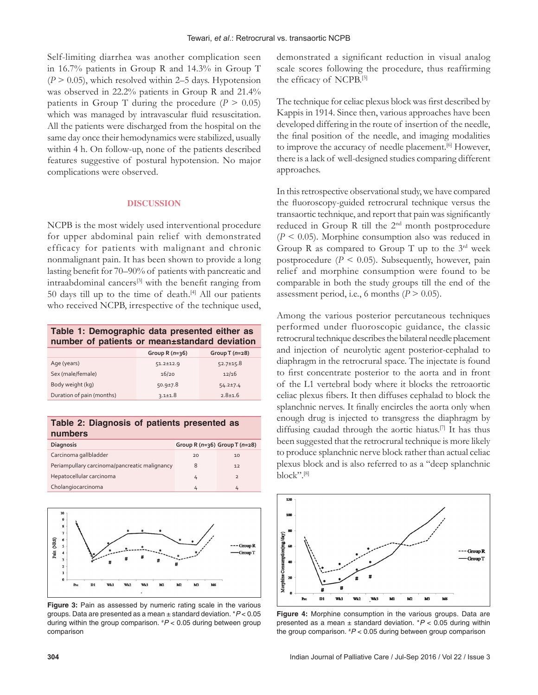Self-limiting diarrhea was another complication seen in 16.7% patients in Group R and 14.3% in Group T  $(P > 0.05)$ , which resolved within 2–5 days. Hypotension was observed in 22.2% patients in Group R and 21.4% patients in Group T during the procedure  $(P > 0.05)$ which was managed by intravascular fluid resuscitation. All the patients were discharged from the hospital on the same day once their hemodynamics were stabilized, usually within 4 h. On follow-up, none of the patients described features suggestive of postural hypotension. No major complications were observed.

# **DISCUSSION**

NCPB is the most widely used interventional procedure for upper abdominal pain relief with demonstrated efficacy for patients with malignant and chronic nonmalignant pain. It has been shown to provide a long lasting benefit for 70–90% of patients with pancreatic and intraabdominal cancers[3] with the benefit ranging from 50 days till up to the time of death.[4] All our patients who received NCPB, irrespective of the technique used,

| Table 1: Demographic data presented either as |  |  |  |
|-----------------------------------------------|--|--|--|
| number of patients or mean±standard deviation |  |  |  |
|                                               |  |  |  |

|                           | Group R $(n=36)$ | Group T $(n=28)$ |
|---------------------------|------------------|------------------|
| Age (years)               | $51.2 \pm 12.9$  | $52.7 \pm 15.8$  |
| Sex (male/female)         | 16/20            | 12/16            |
| Body weight (kg)          | $50.9 \pm 7.8$   | $54.2 \pm 7.4$   |
| Duration of pain (months) | $3.1 \pm 1.8$    | $2.8 + 1.6$      |
|                           |                  |                  |

**Table 2: Diagnosis of patients presented as numbers Diagnosis Group R (***n***=36) Group T (***n***=28)**

| Carcinoma gallbladder                         | 20 | 10 |
|-----------------------------------------------|----|----|
| Periampullary carcinoma/pancreatic malignancy |    | 12 |
| Hepatocellular carcinoma                      |    |    |
| Cholangiocarcinoma                            |    |    |



**Figure 3:** Pain as assessed by numeric rating scale in the various groups. Data are presented as a mean ± standard deviation. \**P* < 0.05 during within the group comparison. # *P* < 0.05 during between group comparison

demonstrated a significant reduction in visual analog scale scores following the procedure, thus reaffirming the efficacy of NCPB.[5]

The technique for celiac plexus block was first described by Kappis in 1914. Since then, various approaches have been developed differing in the route of insertion of the needle, the final position of the needle, and imaging modalities to improve the accuracy of needle placement.<sup>[6]</sup> However, there is a lack of well‑designed studies comparing different approaches.

In this retrospective observational study, we have compared the fluoroscopy‑guided retrocrural technique versus the transaortic technique, and report that pain was significantly reduced in Group R till the 2nd month postprocedure (*P* < 0.05). Morphine consumption also was reduced in Group R as compared to Group T up to the  $3<sup>rd</sup>$  week postprocedure ( $P < 0.05$ ). Subsequently, however, pain relief and morphine consumption were found to be comparable in both the study groups till the end of the assessment period, i.e., 6 months  $(P > 0.05)$ .

Among the various posterior percutaneous techniques performed under fluoroscopic guidance, the classic retrocrural technique describes the bilateral needle placement and injection of neurolytic agent posterior‑cephalad to diaphragm in the retrocrural space. The injectate is found to first concentrate posterior to the aorta and in front of the L1 vertebral body where it blocks the retroaortic celiac plexus fibers. It then diffuses cephalad to block the splanchnic nerves. It finally encircles the aorta only when enough drug is injected to transgress the diaphragm by diffusing caudad through the aortic hiatus.[7] It has thus been suggested that the retrocrural technique is more likely to produce splanchnic nerve block rather than actual celiac plexus block and is also referred to as a "deep splanchnic block".[8]



**Figure 4:** Morphine consumption in the various groups. Data are presented as a mean ± standard deviation. \**P* < 0.05 during within the group comparison. # *P* < 0.05 during between group comparison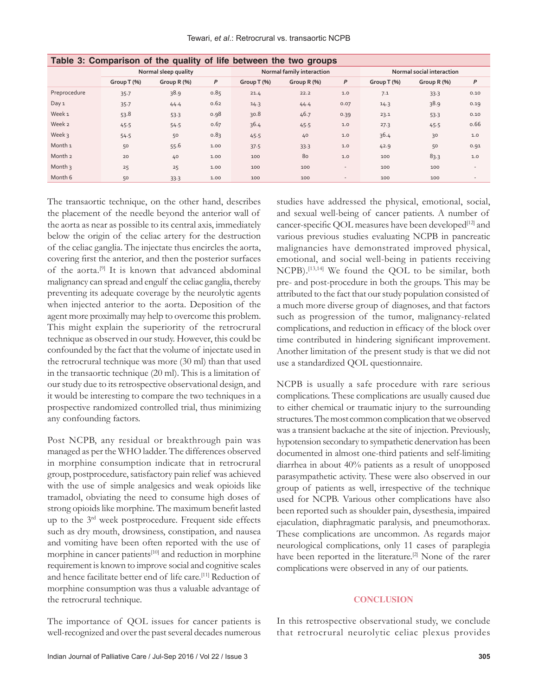#### Tewari, *et al*.: Retrocrural vs. transaortic NCPB

| rable 5. Comparison of the quality of the between the two groups |                      |             |      |                           |               |                          |                           |               |                          |
|------------------------------------------------------------------|----------------------|-------------|------|---------------------------|---------------|--------------------------|---------------------------|---------------|--------------------------|
|                                                                  | Normal sleep quality |             |      | Normal family interaction |               |                          | Normal social interaction |               |                          |
|                                                                  | Group T (%)          | Group R (%) | P    | Group T (%)               | Group $R$ (%) | P                        | Group T (%)               | Group $R$ (%) | P                        |
| Preprocedure                                                     | 35.7                 | 38.9        | 0.85 | 21.4                      | 22.2          | 1.0                      | 7.1                       | 33.3          | 0.10                     |
| Day 1                                                            | 35.7                 | 44.4        | 0.62 | 14.3                      | 44.4          | 0.07                     | 14.3                      | 38.9          | 0.19                     |
| Week <sub>1</sub>                                                | 53.8                 | 53.3        | 0.98 | 30.8                      | 46.7          | 0.39                     | 23.1                      | 53.3          | 0.10                     |
| Week 2                                                           | 45.5                 | 54.5        | 0.67 | 36.4                      | 45.5          | 1.0                      | 27.3                      | 45.5          | 0.66                     |
| Week 3                                                           | 54.5                 | 50          | 0.83 | 45.5                      | 40            | 1.0                      | 36.4                      | 30            | 1.0                      |
| Month <sub>1</sub>                                               | 50                   | 55.6        | 1.00 | 37.5                      | 33.3          | 1.0                      | 42.9                      | 50            | 0.91                     |
| Month <sub>2</sub>                                               | 20                   | 40          | 1.00 | 100                       | 80            | 1.0                      | 100                       | 83.3          | 1.0                      |
| Month $\frac{1}{3}$                                              | 25                   | 25          | 1.00 | 100                       | 100           | $\overline{\phantom{a}}$ | 100                       | 100           |                          |
| Month 6                                                          | 50                   | 33.3        | 1.00 | 100                       | 100           | $\overline{\phantom{a}}$ | 100                       | 100           | $\overline{\phantom{a}}$ |

# **Table 3: Comparison of the quality of life between the two groups**

The transaortic technique, on the other hand, describes the placement of the needle beyond the anterior wall of the aorta as near as possible to its central axis, immediately below the origin of the celiac artery for the destruction of the celiac ganglia. The injectate thus encircles the aorta, covering first the anterior, and then the posterior surfaces of the aorta.<sup>[9]</sup> It is known that advanced abdominal malignancy can spread and engulf the celiac ganglia, thereby preventing its adequate coverage by the neurolytic agents when injected anterior to the aorta. Deposition of the agent more proximally may help to overcome this problem. This might explain the superiority of the retrocrural technique as observed in our study. However, this could be confounded by the fact that the volume of injectate used in the retrocrural technique was more (30 ml) than that used in the transaortic technique (20 ml). This is a limitation of our study due to its retrospective observational design, and it would be interesting to compare the two techniques in a prospective randomized controlled trial, thus minimizing any confounding factors.

Post NCPB, any residual or breakthrough pain was managed as per the WHO ladder. The differences observed in morphine consumption indicate that in retrocrural group, postprocedure, satisfactory pain relief was achieved with the use of simple analgesics and weak opioids like tramadol, obviating the need to consume high doses of strong opioids like morphine. The maximum benefit lasted up to the 3rd week postprocedure. Frequent side effects such as dry mouth, drowsiness, constipation, and nausea and vomiting have been often reported with the use of morphine in cancer patients<sup>[10]</sup> and reduction in morphine requirement is known to improve social and cognitive scales and hence facilitate better end of life care.<sup>[11]</sup> Reduction of morphine consumption was thus a valuable advantage of the retrocrural technique.

The importance of QOL issues for cancer patients is well-recognized and over the past several decades numerous studies have addressed the physical, emotional, social, and sexual well-being of cancer patients. A number of cancer-specific QOL measures have been developed<sup>[12]</sup> and various previous studies evaluating NCPB in pancreatic malignancies have demonstrated improved physical, emotional, and social well-being in patients receiving NCPB).[13,14] We found the QOL to be similar, both pre‑ and post‑procedure in both the groups. This may be attributed to the fact that our study population consisted of a much more diverse group of diagnoses, and that factors such as progression of the tumor, malignancy-related complications, and reduction in efficacy of the block over time contributed in hindering significant improvement. Another limitation of the present study is that we did not use a standardized QOL questionnaire.

NCPB is usually a safe procedure with rare serious complications. These complications are usually caused due to either chemical or traumatic injury to the surrounding structures. The most common complication that we observed was a transient backache at the site of injection. Previously, hypotension secondary to sympathetic denervation has been documented in almost one‑third patients and self‑limiting diarrhea in about 40% patients as a result of unopposed parasympathetic activity. These were also observed in our group of patients as well, irrespective of the technique used for NCPB. Various other complications have also been reported such as shoulder pain, dysesthesia, impaired ejaculation, diaphragmatic paralysis, and pneumothorax. These complications are uncommon. As regards major neurological complications, only 11 cases of paraplegia have been reported in the literature.<sup>[2]</sup> None of the rarer complications were observed in any of our patients.

### **CONCLUSION**

In this retrospective observational study, we conclude that retrocrural neurolytic celiac plexus provides